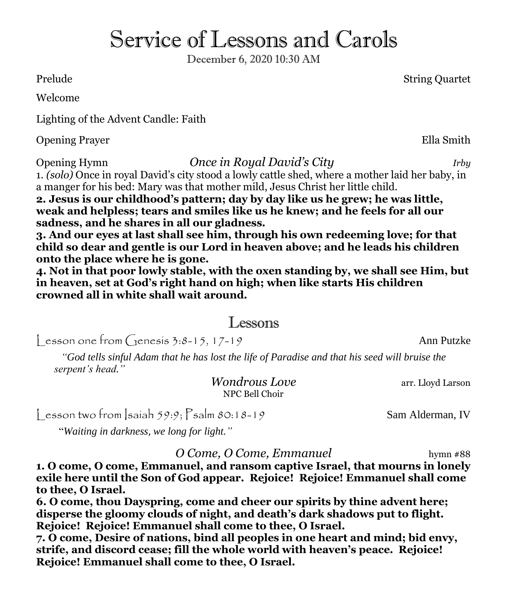# Service of Lessons and Carols

December 6, 2020 10:30 AM

Prelude String Quartet

Welcome

Lighting of the Advent Candle: Faith

Opening Prayer Ella Smith

Opening Hymn *Once in Royal David's City Irby*

1. *(solo)* Once in royal David's city stood a lowly cattle shed, where a mother laid her baby, in a manger for his bed: Mary was that mother mild, Jesus Christ her little child. **2***.* **Jesus is our childhood's pattern; day by day like us he grew; he was little,** 

**weak and helpless; tears and smiles like us he knew; and he feels for all our sadness, and he shares in all our gladness.**

**3. And our eyes at last shall see him, through his own redeeming love; for that child so dear and gentle is our Lord in heaven above; and he leads his children onto the place where he is gone.**

**4. Not in that poor lowly stable, with the oxen standing by, we shall see Him, but in heaven, set at God's right hand on high; when like starts His children crowned all in white shall wait around.**

## Lessons

 $\cos 0$  one from  $\sin 3:8-15$ ,  $17-19$  Ann Putzke

*"God tells sinful Adam that he has lost the life of Paradise and that his seed will bruise the serpent's head."*

> *Wondrous Love* arr. Lloyd Larson NPC Bell Choir

 $\frac{1}{2}$  esson two from  $\frac{1}{2}$ saiah 59:9;  $\frac{1}{2}$ salm 80:18-19 Sam Alderman, IV

"*Waiting in darkness, we long for light."*

*O Come, O Come, Emmanuel* hymn #88

**1. O come, O come, Emmanuel, and ransom captive Israel, that mourns in lonely exile here until the Son of God appear. Rejoice! Rejoice! Emmanuel shall come to thee, O Israel.**

**6. O come, thou Dayspring, come and cheer our spirits by thine advent here; disperse the gloomy clouds of night, and death's dark shadows put to flight. Rejoice! Rejoice! Emmanuel shall come to thee, O Israel.**

**7. O come, Desire of nations, bind all peoples in one heart and mind; bid envy, strife, and discord cease; fill the whole world with heaven's peace. Rejoice! Rejoice! Emmanuel shall come to thee, O Israel.**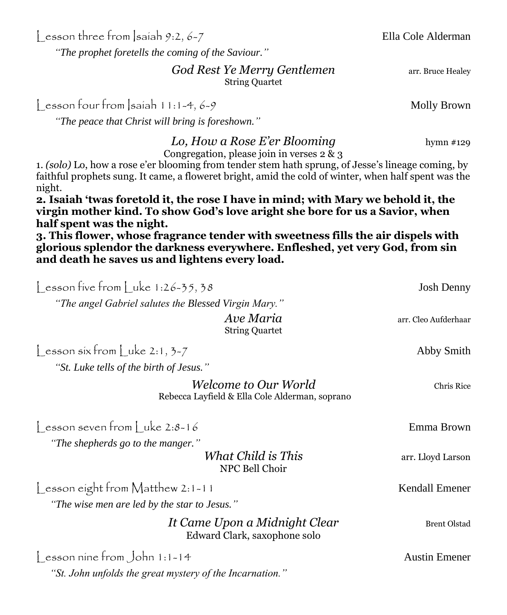Lesson three from Isaiah 9:2, 6-7 Ella Cole Alderman

*"The prophet foretells the coming of the Saviour."*

**God Rest Ye Merry Gentlemen** arr. Bruce Healey String Quartet

 $\int$  esson four from  $\int$  saiah 11:1-4, 6-9 Molly Brown

*"The peace that Christ will bring is foreshown."*

*Lo, How a Rose E'er Blooming* hymn #129

Congregation, please join in verses 2 & 3

1. *(solo)* Lo, how a rose e'er blooming from tender stem hath sprung, of Jesse's lineage coming, by faithful prophets sung. It came, a floweret bright, amid the cold of winter, when half spent was the night.

**2***.* **Isaiah 'twas foretold it, the rose I have in mind; with Mary we behold it, the virgin mother kind. To show God's love aright she bore for us a Savior, when half spent was the night.**

**3. This flower, whose fragrance tender with sweetness fills the air dispels with glorious splendor the darkness everywhere. Enfleshed, yet very God, from sin and death he saves us and lightens every load.**

 $\cos 2\theta$  lesson five from  $\sin 1:26-35, 38$ *"The angel Gabriel salutes the Blessed Virgin Mary." Ave Maria* arr. Cleo Aufderhaar String Quartet  $\left[ \begin{array}{c} 1 \text{ esson } \sinh \text{ln} \\ 1 \text{ kon} \end{array} \right]$  uke 2:1, 3-7 *"St. Luke tells of the birth of Jesus." Welcome to Our World* Chris Rice Rebecca Layfield & Ella Cole Alderman, soprano Lesson seven from Luke 2:8-16 Emma Brown *"The shepherds go to the manger." What Child is This* arr. Lloyd Larson NPC Bell Choir Soon eight from Matthew 2:1-11 Kendall Emener *"The wise men are led by the star to Jesus." It Came Upon a Midnight Clear* Brent Olstad Edward Clark, saxophone solo Lesson nine from John 1:1-14 Austin Emener *"St. John unfolds the great mystery of the Incarnation."*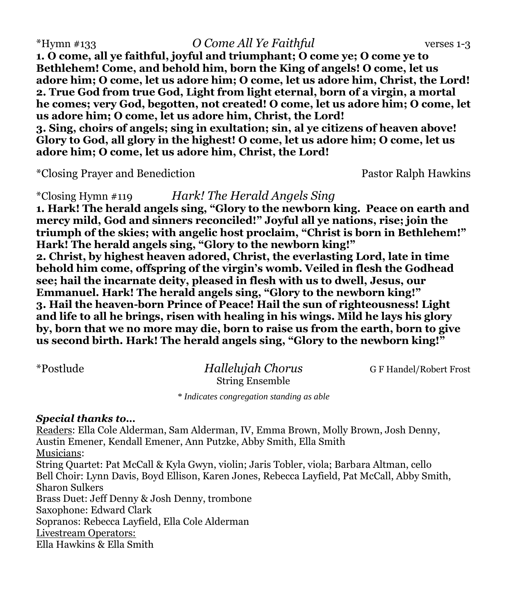\*Hymn #133 *O Come All Ye Faithful* verses 1-3

**1***.* **O come, all ye faithful, joyful and triumphant; O come ye; O come ye to Bethlehem! Come, and behold him, born the King of angels! O come, let us adore him; O come, let us adore him; O come, let us adore him, Christ, the Lord! 2. True God from true God, Light from light eternal, born of a virgin, a mortal he comes; very God, begotten, not created! O come, let us adore him; O come, let us adore him; O come, let us adore him, Christ, the Lord! 3. Sing, choirs of angels; sing in exultation; sin, al ye citizens of heaven above! Glory to God, all glory in the highest! O come, let us adore him; O come, let us adore him; O come, let us adore him, Christ, the Lord!**

\*Closing Prayer and Benediction Pastor Ralph Hawkins

\*Closing Hymn #119 *Hark! The Herald Angels Sing*

**1***.* **Hark! The herald angels sing, "Glory to the newborn king. Peace on earth and mercy mild, God and sinners reconciled!" Joyful all ye nations, rise; join the triumph of the skies; with angelic host proclaim, "Christ is born in Bethlehem!" Hark! The herald angels sing, "Glory to the newborn king!" 2. Christ, by highest heaven adored, Christ, the everlasting Lord, late in time behold him come, offspring of the virgin's womb. Veiled in flesh the Godhead see; hail the incarnate deity, pleased in flesh with us to dwell, Jesus, our Emmanuel. Hark! The herald angels sing, "Glory to the newborn king!" 3. Hail the heaven-born Prince of Peace! Hail the sun of righteousness! Light and life to all he brings, risen with healing in his wings. Mild he lays his glory by, born that we no more may die, born to raise us from the earth, born to give us second birth. Hark! The herald angels sing, "Glory to the newborn king!"**

\*Postlude *Hallelujah Chorus* G F Handel/Robert Frost String Ensemble

*\* Indicates congregation standing as able*

#### *Special thanks to…*

Readers: Ella Cole Alderman, Sam Alderman, IV, Emma Brown, Molly Brown, Josh Denny, Austin Emener, Kendall Emener, Ann Putzke, Abby Smith, Ella Smith Musicians: String Quartet: Pat McCall & Kyla Gwyn, violin; Jaris Tobler, viola; Barbara Altman, cello Bell Choir: Lynn Davis, Boyd Ellison, Karen Jones, Rebecca Layfield, Pat McCall, Abby Smith, Sharon Sulkers Brass Duet: Jeff Denny & Josh Denny, trombone Saxophone: Edward Clark Sopranos: Rebecca Layfield, Ella Cole Alderman Livestream Operators: Ella Hawkins & Ella Smith